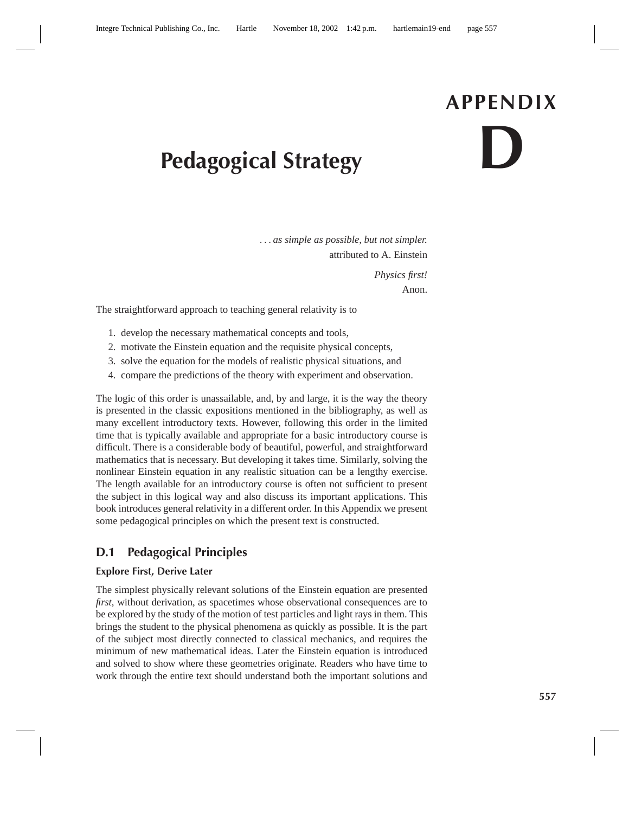# **APPENDIX**

... *as simple as possible, but not simpler.* attributed to A. Einstein

> *Physics first!* Anon.

The straightforward approach to teaching general relativity is to

- 1. develop the necessary mathematical concepts and tools,
- 2. motivate the Einstein equation and the requisite physical concepts,
- 3. solve the equation for the models of realistic physical situations, and
- 4. compare the predictions of the theory with experiment and observation.

**Pedagogical Strategy** 

The logic of this order is unassailable, and, by and large, it is the way the theory is presented in the classic expositions mentioned in the bibliography, as well as many excellent introductory texts. However, following this order in the limited time that is typically available and appropriate for a basic introductory course is difficult. There is a considerable body of beautiful, powerful, and straightforward mathematics that is necessary. But developing it takes time. Similarly, solving the nonlinear Einstein equation in any realistic situation can be a lengthy exercise. The length available for an introductory course is often not sufficient to present the subject in this logical way and also discuss its important applications. This book introduces general relativity in a different order. In this Appendix we present some pedagogical principles on which the present text is constructed.

# **D.1 Pedagogical Principles**

### **Explore First, Derive Later**

The simplest physically relevant solutions of the Einstein equation are presented *first*, without derivation, as spacetimes whose observational consequences are to be explored by the study of the motion of test particles and light rays in them. This brings the student to the physical phenomena as quickly as possible. It is the part of the subject most directly connected to classical mechanics, and requires the minimum of new mathematical ideas. Later the Einstein equation is introduced and solved to show where these geometries originate. Readers who have time to work through the entire text should understand both the important solutions and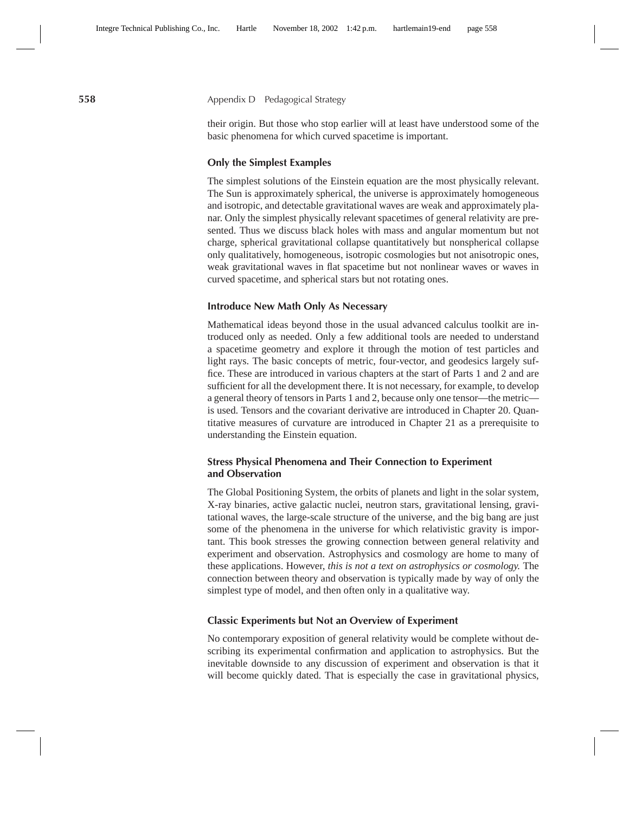#### **558 Appendix D** Pedagogical Strategy

their origin. But those who stop earlier will at least have understood some of the basic phenomena for which curved spacetime is important.

## **Only the Simplest Examples**

The simplest solutions of the Einstein equation are the most physically relevant. The Sun is approximately spherical, the universe is approximately homogeneous and isotropic, and detectable gravitational waves are weak and approximately planar. Only the simplest physically relevant spacetimes of general relativity are presented. Thus we discuss black holes with mass and angular momentum but not charge, spherical gravitational collapse quantitatively but nonspherical collapse only qualitatively, homogeneous, isotropic cosmologies but not anisotropic ones, weak gravitational waves in flat spacetime but not nonlinear waves or waves in curved spacetime, and spherical stars but not rotating ones.

#### **Introduce New Math Only As Necessary**

Mathematical ideas beyond those in the usual advanced calculus toolkit are introduced only as needed. Only a few additional tools are needed to understand a spacetime geometry and explore it through the motion of test particles and light rays. The basic concepts of metric, four-vector, and geodesics largely suffice. These are introduced in various chapters at the start of Parts 1 and 2 and are sufficient for all the development there. It is not necessary, for example, to develop a general theory of tensors in Parts 1 and 2, because only one tensor—the metric is used. Tensors and the covariant derivative are introduced in Chapter 20. Quantitative measures of curvature are introduced in Chapter 21 as a prerequisite to understanding the Einstein equation.

## **Stress Physical Phenomena and Their Connection to Experiment and Observation**

The Global Positioning System, the orbits of planets and light in the solar system, X-ray binaries, active galactic nuclei, neutron stars, gravitational lensing, gravitational waves, the large-scale structure of the universe, and the big bang are just some of the phenomena in the universe for which relativistic gravity is important. This book stresses the growing connection between general relativity and experiment and observation. Astrophysics and cosmology are home to many of these applications. However, *this is not a text on astrophysics or cosmology.* The connection between theory and observation is typically made by way of only the simplest type of model, and then often only in a qualitative way.

### **Classic Experiments but Not an Overview of Experiment**

No contemporary exposition of general relativity would be complete without describing its experimental confirmation and application to astrophysics. But the inevitable downside to any discussion of experiment and observation is that it will become quickly dated. That is especially the case in gravitational physics,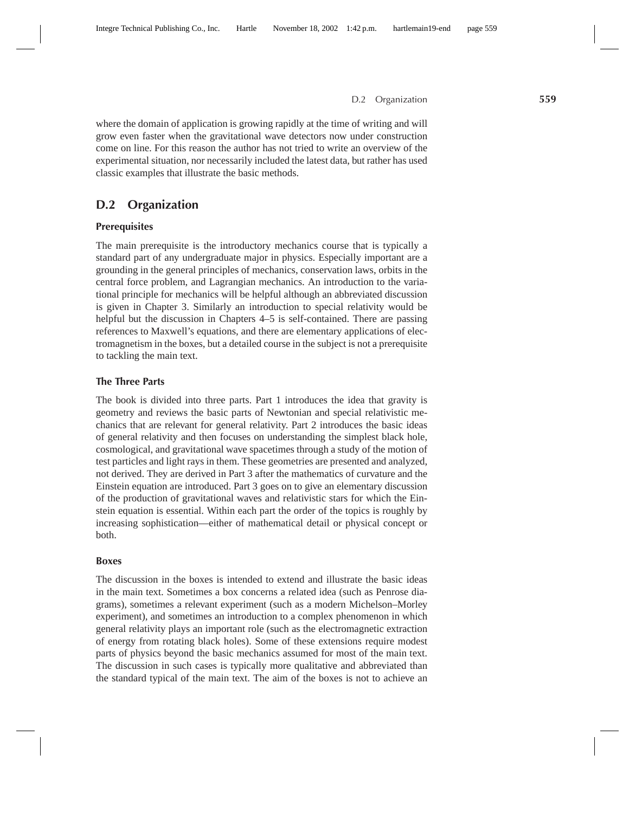D.2 Organization **559**

where the domain of application is growing rapidly at the time of writing and will grow even faster when the gravitational wave detectors now under construction come on line. For this reason the author has not tried to write an overview of the experimental situation, nor necessarily included the latest data, but rather has used classic examples that illustrate the basic methods.

# **D.2 Organization**

#### **Prerequisites**

The main prerequisite is the introductory mechanics course that is typically a standard part of any undergraduate major in physics. Especially important are a grounding in the general principles of mechanics, conservation laws, orbits in the central force problem, and Lagrangian mechanics. An introduction to the variational principle for mechanics will be helpful although an abbreviated discussion is given in Chapter 3. Similarly an introduction to special relativity would be helpful but the discussion in Chapters 4–5 is self-contained. There are passing references to Maxwell's equations, and there are elementary applications of electromagnetism in the boxes, but a detailed course in the subject is not a prerequisite to tackling the main text.

#### **The Three Parts**

The book is divided into three parts. Part 1 introduces the idea that gravity is geometry and reviews the basic parts of Newtonian and special relativistic mechanics that are relevant for general relativity. Part 2 introduces the basic ideas of general relativity and then focuses on understanding the simplest black hole, cosmological, and gravitational wave spacetimes through a study of the motion of test particles and light rays in them. These geometries are presented and analyzed, not derived. They are derived in Part 3 after the mathematics of curvature and the Einstein equation are introduced. Part 3 goes on to give an elementary discussion of the production of gravitational waves and relativistic stars for which the Einstein equation is essential. Within each part the order of the topics is roughly by increasing sophistication—either of mathematical detail or physical concept or both.

#### **Boxes**

The discussion in the boxes is intended to extend and illustrate the basic ideas in the main text. Sometimes a box concerns a related idea (such as Penrose diagrams), sometimes a relevant experiment (such as a modern Michelson–Morley experiment), and sometimes an introduction to a complex phenomenon in which general relativity plays an important role (such as the electromagnetic extraction of energy from rotating black holes). Some of these extensions require modest parts of physics beyond the basic mechanics assumed for most of the main text. The discussion in such cases is typically more qualitative and abbreviated than the standard typical of the main text. The aim of the boxes is not to achieve an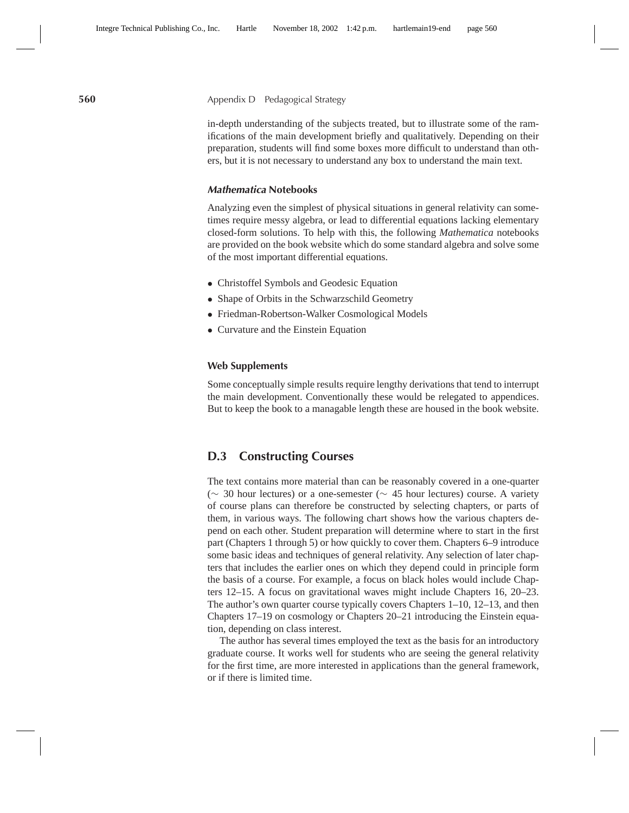#### **560** Appendix D Pedagogical Strategy

in-depth understanding of the subjects treated, but to illustrate some of the ramifications of the main development briefly and qualitatively. Depending on their preparation, students will find some boxes more difficult to understand than others, but it is not necessary to understand any box to understand the main text.

### **Mathematica Notebooks**

Analyzing even the simplest of physical situations in general relativity can sometimes require messy algebra, or lead to differential equations lacking elementary closed-form solutions. To help with this, the following *Mathematica* notebooks are provided on the book website which do some standard algebra and solve some of the most important differential equations.

- Christoffel Symbols and Geodesic Equation
- Shape of Orbits in the Schwarzschild Geometry
- Friedman-Robertson-Walker Cosmological Models
- Curvature and the Einstein Equation

## **Web Supplements**

Some conceptually simple results require lengthy derivations that tend to interrupt the main development. Conventionally these would be relegated to appendices. But to keep the book to a managable length these are housed in the book website.

# **D.3 Constructing Courses**

The text contains more material than can be reasonably covered in a one-quarter (∼ 30 hour lectures) or a one-semester (∼ 45 hour lectures) course. A variety of course plans can therefore be constructed by selecting chapters, or parts of them, in various ways. The following chart shows how the various chapters depend on each other. Student preparation will determine where to start in the first part (Chapters 1 through 5) or how quickly to cover them. Chapters 6–9 introduce some basic ideas and techniques of general relativity. Any selection of later chapters that includes the earlier ones on which they depend could in principle form the basis of a course. For example, a focus on black holes would include Chapters 12–15. A focus on gravitational waves might include Chapters 16, 20–23. The author's own quarter course typically covers Chapters 1–10, 12–13, and then Chapters 17–19 on cosmology or Chapters 20–21 introducing the Einstein equation, depending on class interest.

The author has several times employed the text as the basis for an introductory graduate course. It works well for students who are seeing the general relativity for the first time, are more interested in applications than the general framework, or if there is limited time.